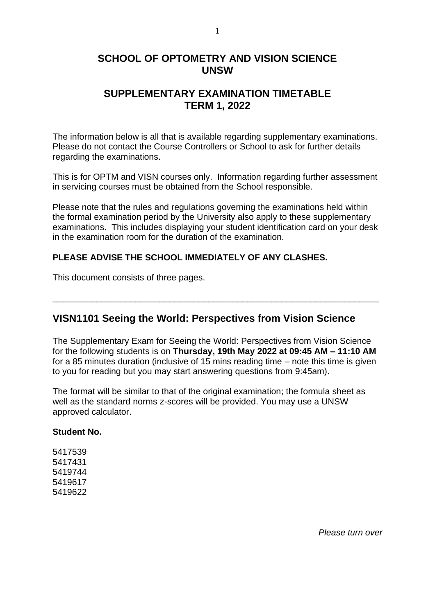### **SCHOOL OF OPTOMETRY AND VISION SCIENCE UNSW**

### **SUPPLEMENTARY EXAMINATION TIMETABLE TERM 1, 2022**

The information below is all that is available regarding supplementary examinations. Please do not contact the Course Controllers or School to ask for further details regarding the examinations.

This is for OPTM and VISN courses only. Information regarding further assessment in servicing courses must be obtained from the School responsible.

Please note that the rules and regulations governing the examinations held within the formal examination period by the University also apply to these supplementary examinations. This includes displaying your student identification card on your desk in the examination room for the duration of the examination.

### **PLEASE ADVISE THE SCHOOL IMMEDIATELY OF ANY CLASHES.**

This document consists of three pages.

### **VISN1101 Seeing the World: Perspectives from Vision Science**

The Supplementary Exam for Seeing the World: Perspectives from Vision Science for the following students is on **Thursday, 19th May 2022 at 09:45 AM – 11:10 AM** for a 85 minutes duration (inclusive of 15 mins reading time – note this time is given to you for reading but you may start answering questions from 9:45am).

\_\_\_\_\_\_\_\_\_\_\_\_\_\_\_\_\_\_\_\_\_\_\_\_\_\_\_\_\_\_\_\_\_\_\_\_\_\_\_\_\_\_\_\_\_\_\_\_\_\_\_\_\_\_\_\_\_\_\_\_\_\_\_\_\_\_\_

The format will be similar to that of the original examination; the formula sheet as well as the standard norms z-scores will be provided. You may use a UNSW approved calculator.

#### **Student No.**

*Please turn over*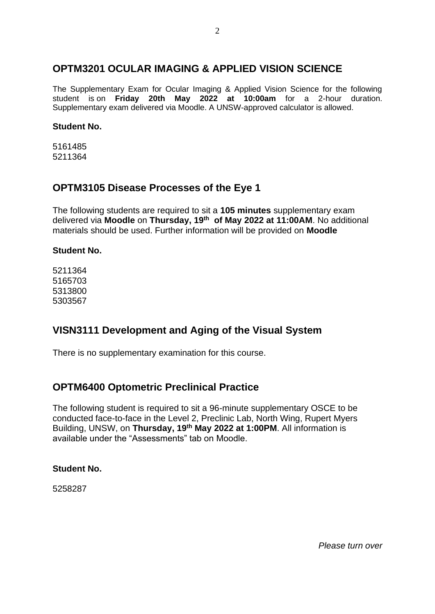## **OPTM3201 OCULAR IMAGING & APPLIED VISION SCIENCE**

The Supplementary Exam for Ocular Imaging & Applied Vision Science for the following student is on **Friday 20th May 2022 at 10:00am** for a 2-hour duration. Supplementary exam delivered via Moodle. A UNSW-approved calculator is allowed.

#### **Student No.**

5161485 5211364

### **OPTM3105 Disease Processes of the Eye 1**

The following students are required to sit a **105 minutes** supplementary exam delivered via **Moodle** on **Thursday, 19th of May 2022 at 11:00AM**. No additional materials should be used. Further information will be provided on **Moodle**

### **Student No.**

# **VISN3111 Development and Aging of the Visual System**

There is no supplementary examination for this course.

# **OPTM6400 Optometric Preclinical Practice**

The following student is required to sit a 96-minute supplementary OSCE to be conducted face-to-face in the Level 2, Preclinic Lab, North Wing, Rupert Myers Building, UNSW, on **Thursday, 19th May 2022 at 1:00PM**. All information is available under the "Assessments" tab on Moodle.

### **Student No.**

5258287

*Please turn over*